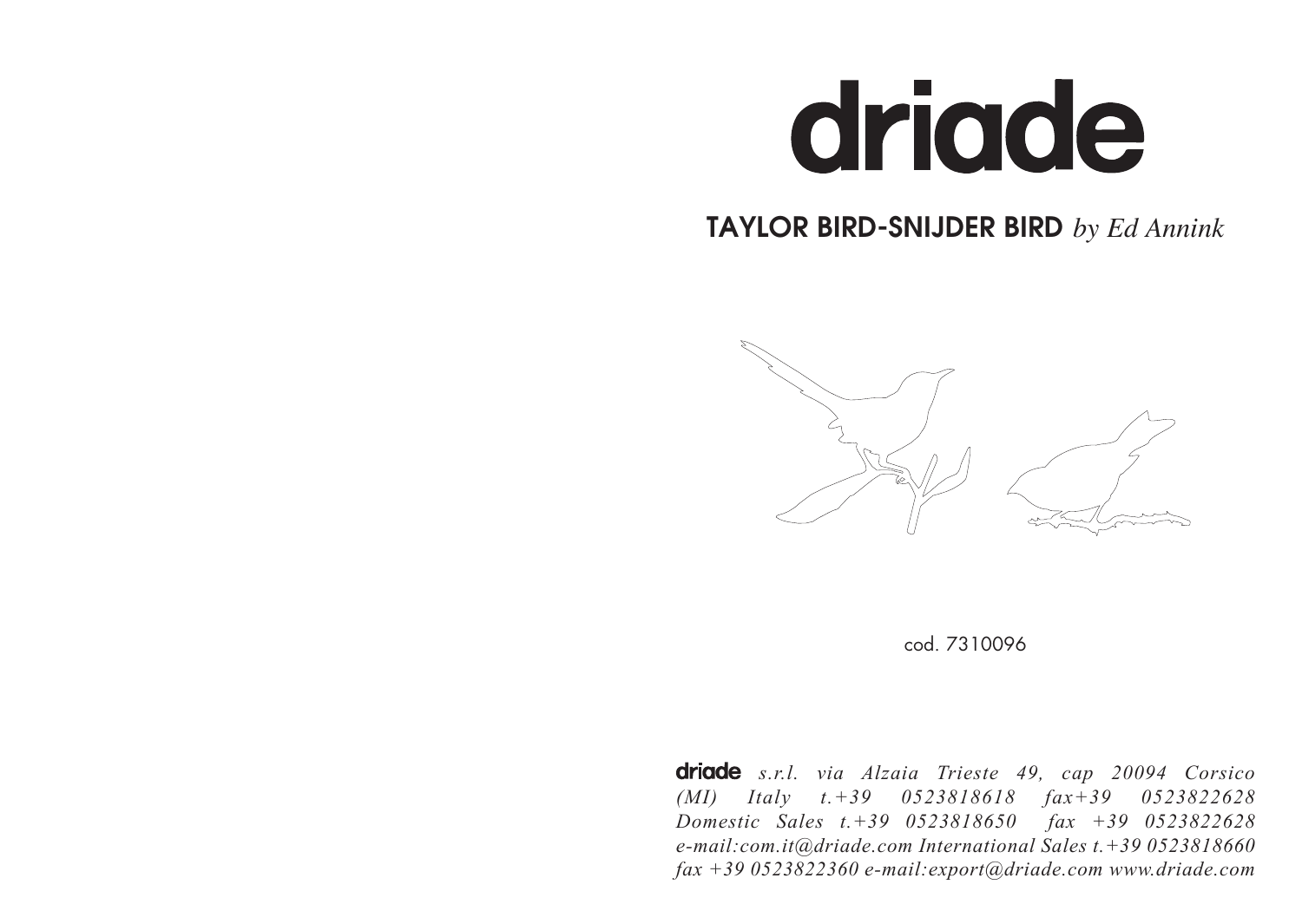

# TAYLOR BIRD-SNIJDER BIRD *by Ed Annink*





**driade** s.r.l. via Alzaia Trieste 49, cap 20094 Corsico *(MI) Italy t.+39 0523818618 fax+39 0523822628 Domestic Sales t.+39 0523818650 fax +39 0523822628 e-mail:com.it@driade.com International Sales t.+39 0523818660 fax +39 0523822360 e-mail:export@driade.com www.driade.com*